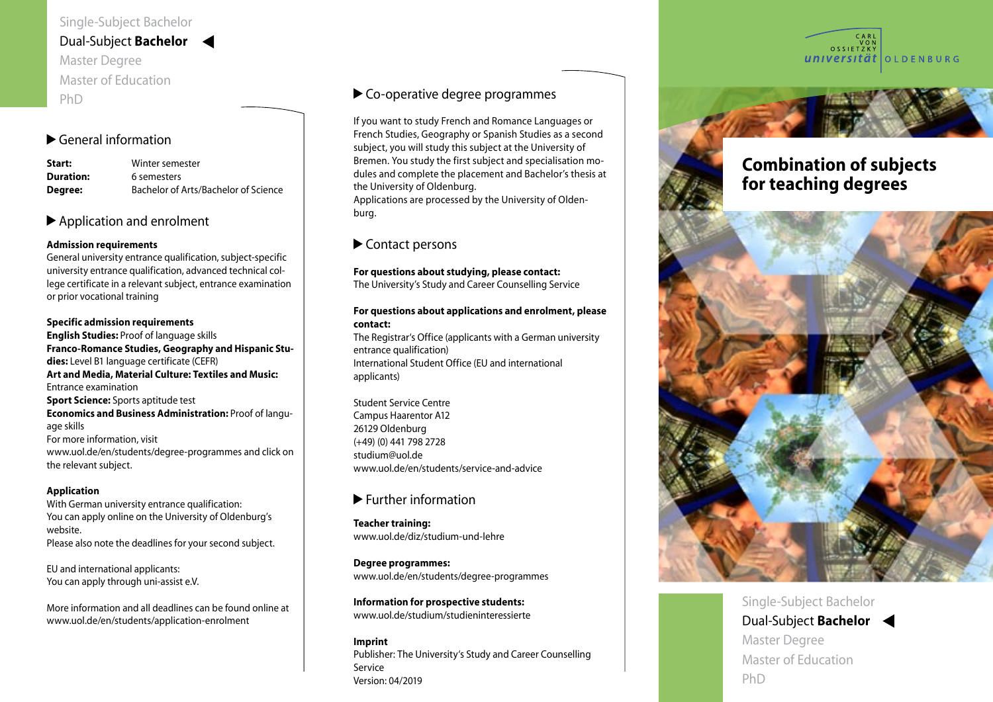## Dual-Subject **Bachelor**

Master Degree Master of Education PhD

# General information

| Start:           | Winter semester                      |
|------------------|--------------------------------------|
| <b>Duration:</b> | 6 semesters                          |
| Degree:          | Bachelor of Arts/Bachelor of Science |

#### $\blacktriangleright$  Application and enrolment  $\blacktriangleright$  Application and emonitent

# Admission requirements

General university entrance qualification, subject-specific Nulput delis nulputpat ea consecte magnim iurem vel dolo porteral anti-cristy entrance qualification, cally sex epocine<br>university entrance qualification, advanced technical colan rensity entrance qualification, advanced technical est.<br>lege certificate in a relevant subject, entrance examination nege est mitete in a referant sabyect, entrance skammation.<br>or prior vocational training er prior recenteries treatum ipsum duisit adiatum ipsum duisit adiatum duisit adiatum duisit adiatum duisit ad<br>Territoria

# Specific admission requirements

English Studies: Proof of language skills wissectem nullupt atummodio ea consequis at, quisit, vel Franco-Romance Studies, Geography and Hispanic Stu - init ulput landigna consequamet prat. Duismodip enim name nomane cuare, cograph, and mapame of<br>**dies:** Level B1 language certificate (CEFR) ares estern in anguage ceramente (cerri)<br>Art and Media, Material Culture: Textiles and Music: entrance examination<br>Entrance examination ensance exammation<br>**Sport Science:** Sports aptitude test **Economics and Business Administration:** Proof of language skills age skins<br>For more information, visit rer mere information, not<br>www.uol.de/en/students/degree-programmes and click on www.ab.i.ac/cm/staa.<br>the relevant subject. documente en secondo communente ver si er si .<br>200 ckille

## Application **Information**

With German university entrance qualification: You can apply online on the University of Oldenburg's website. Please also note the deadlines for your second subject.

EU and international applicants: You can apply through uni-assist e.V.

More information and all deadlines can be found online at www.uol.de/en/students/application-enrolment

# Co-operative degree programmes

If you want to study French and Romance Languages or French Studies, Geography or Spanish Studies as a second subject, you will study this subject at the University of Bremen. You study the first subject and specialisation mo dules and complete the placement and Bachelor's thesis at the University of Oldenburg. Applications are processed by the University of Oldenburg.

#### Contact persons • per E-Mail: infoline-studium@uni-oldenburg.de

## For questions about studying, please contact:

Die Infoline-Studium erreichen Sie

The University's Study and Career Counselling Service<br>-

## For questions about applications and enrolment, please contact:

**contact:**<br>The Registrar's Office (applicants with a German university entrance qualification) International Student Office (EU and international applicants)  $\frac{1}{\sqrt{2}}$ berät Sie kompetent in allen Frangen rund um Intersty  $M(x)$ 

Student Service Centre Student Service Centre<br>Campus Haarentor A12 26129 Oldenburg en die Voranmeldung von Voranmeldung von Voranmeldung von Voranmeldung von Voranmeldung von Vo<br>1980 von Voranmeldung von Voranmeldung von Voranmeldung von Voranmeldung von Voranmeldung von Voranmeldung von (+49) (0) 441 798 2728 Mo, Do 09.00 - 12.00 Uhr studium@uol.de www.uol.de/en/students/service-and-advice  $\mathbf{u}$   $\mathbf{u}$   $\mathbf{u}$   $\mathbf{u}$   $\mathbf{u}$   $\mathbf{u}$   $\mathbf{u}$   $\mathbf{u}$   $\mathbf{u}$   $\mathbf{u}$   $\mathbf{u}$   $\mathbf{u}$   $\mathbf{v}$   $\mathbf{u}$   $\mathbf{u}$   $\mathbf{u}$   $\mathbf{u}$   $\mathbf{u}$   $\mathbf{u}$   $\mathbf{u}$   $\mathbf{u}$   $\mathbf{u}$   $\mathbf{u}$   $\mathbf{u}$   $\mathbf{$ 

# Further information

Teacher training: with  $\overline{\phantom{a}}$ www.uol.de/diz/studium-und-lehre

Degree programmes: with a studium of  $\mathbf{D}$ www.uol.de/en/students/degree-programmes

Information for prospective students: www.uol.de/studium/studieninteressierte

## Imprint Publisher: The University's Study and Career Counselling Service Version: 04/2019





# Combination of subjects for teaching degrees



Single-Subject Bachelor Dual-Subject **Bachelor** Master Degree Master of Education PhD